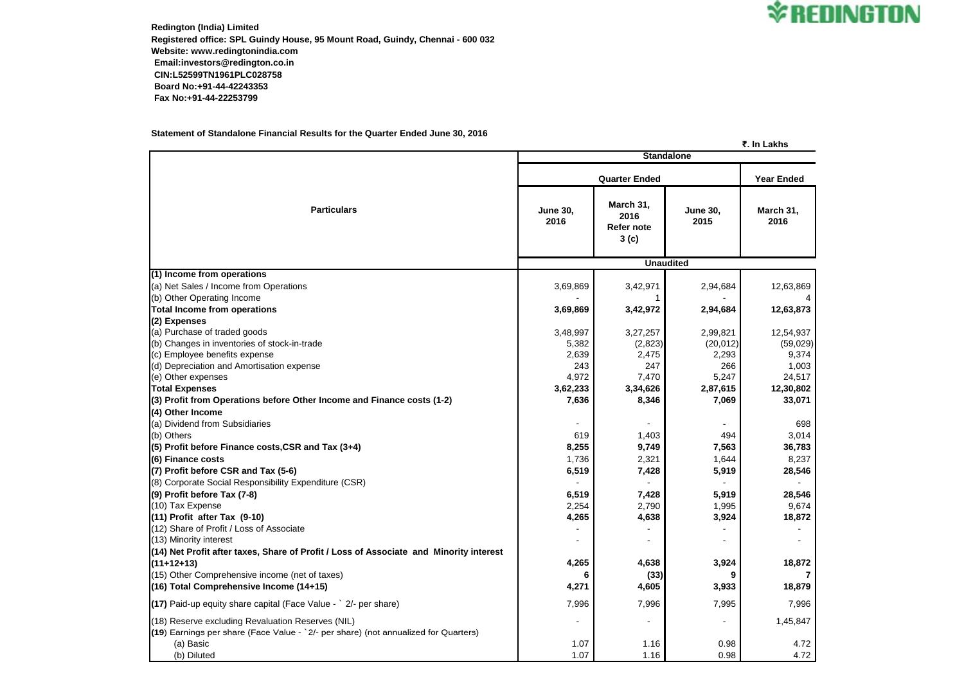**Redington (India) Limited Registered office: SPL Guindy House, 95 Mount Road, Guindy, Chennai - 600 032 Website: www.redingtonindia.com Email:investors@redington.co.in CIN:L52599TN1961PLC028758 Board No:+91-44-42243353 Fax No:+91-44-22253799**

### **Statement of Standalone Financial Results for the Quarter Ended June 30, 2016**

#### **₹. In Lakhs**

|                                                                                        | <b>Standalone</b>       |                                         |                         |                   |  |  |
|----------------------------------------------------------------------------------------|-------------------------|-----------------------------------------|-------------------------|-------------------|--|--|
| <b>Particulars</b>                                                                     |                         | <b>Year Ended</b>                       |                         |                   |  |  |
|                                                                                        | <b>June 30,</b><br>2016 | March 31,<br>2016<br>Refer note<br>3(c) | <b>June 30,</b><br>2015 | March 31,<br>2016 |  |  |
|                                                                                        | <b>Unaudited</b>        |                                         |                         |                   |  |  |
| (1) Income from operations                                                             |                         |                                         |                         |                   |  |  |
| (a) Net Sales / Income from Operations                                                 | 3,69,869                | 3,42,971                                | 2,94,684                | 12,63,869         |  |  |
| (b) Other Operating Income                                                             |                         |                                         |                         |                   |  |  |
| <b>Total Income from operations</b>                                                    | 3,69,869                | 3,42,972                                | 2,94,684                | 12,63,873         |  |  |
| (2) Expenses<br>(a) Purchase of traded goods                                           | 3,48,997                | 3,27,257                                | 2,99,821                | 12,54,937         |  |  |
| (b) Changes in inventories of stock-in-trade                                           | 5,382                   | (2,823)                                 | (20, 012)               | (59,029)          |  |  |
| (c) Employee benefits expense                                                          | 2,639                   | 2,475                                   | 2,293                   | 9,374             |  |  |
| (d) Depreciation and Amortisation expense                                              | 243                     | 247                                     | 266                     | 1,003             |  |  |
| (e) Other expenses                                                                     | 4,972                   | 7,470                                   | 5,247                   | 24,517            |  |  |
| <b>Total Expenses</b>                                                                  | 3,62,233                | 3,34,626                                | 2,87,615                | 12,30,802         |  |  |
| (3) Profit from Operations before Other Income and Finance costs (1-2)                 | 7,636                   | 8,346                                   | 7,069                   | 33,071            |  |  |
| (4) Other Income                                                                       |                         |                                         |                         |                   |  |  |
| (a) Dividend from Subsidiaries                                                         |                         |                                         |                         | 698               |  |  |
| (b) Others                                                                             | 619                     | 1,403                                   | 494                     | 3,014             |  |  |
| $(5)$ Profit before Finance costs, CSR and Tax $(3+4)$                                 | 8,255                   | 9,749                                   | 7,563                   | 36,783            |  |  |
| (6) Finance costs                                                                      | 1,736                   | 2,321                                   | 1,644                   | 8,237             |  |  |
| (7) Profit before CSR and Tax (5-6)                                                    | 6,519                   | 7,428                                   | 5,919                   | 28,546            |  |  |
| (8) Corporate Social Responsibility Expenditure (CSR)                                  |                         |                                         |                         |                   |  |  |
| (9) Profit before Tax (7-8)                                                            | 6,519                   | 7,428                                   | 5,919                   | 28,546            |  |  |
| (10) Tax Expense                                                                       | 2,254                   | 2,790                                   | 1,995                   | 9,674             |  |  |
| $(11)$ Profit after Tax $(9-10)$                                                       | 4,265                   | 4,638                                   | 3,924                   | 18,872            |  |  |
| (12) Share of Profit / Loss of Associate                                               |                         |                                         |                         |                   |  |  |
| (13) Minority interest                                                                 |                         |                                         |                         |                   |  |  |
| (14) Net Profit after taxes, Share of Profit / Loss of Associate and Minority interest |                         |                                         |                         |                   |  |  |
| $(11+12+13)$                                                                           | 4,265                   | 4,638                                   | 3,924                   | 18,872            |  |  |
| (15) Other Comprehensive income (net of taxes)                                         |                         | (33)                                    |                         |                   |  |  |
| $(16)$ Total Comprehensive Income (14+15)                                              | 4,271                   | 4,605                                   | 3,933                   | 18,879            |  |  |
| $(17)$ Paid-up equity share capital (Face Value - $\degree$ 2/- per share)             | 7,996                   | 7,996                                   | 7,995                   | 7,996             |  |  |
| (18) Reserve excluding Revaluation Reserves (NIL)                                      |                         |                                         |                         | 1,45,847          |  |  |
| $(19)$ Earnings per share (Face Value - $2/-$ per share) (not annualized for Quarters) |                         |                                         |                         |                   |  |  |
| (a) Basic                                                                              | 1.07                    | 1.16                                    | 0.98                    | 4.72              |  |  |
| (b) Diluted                                                                            | 1.07                    | 1.16                                    | 0.98                    | 4.72              |  |  |

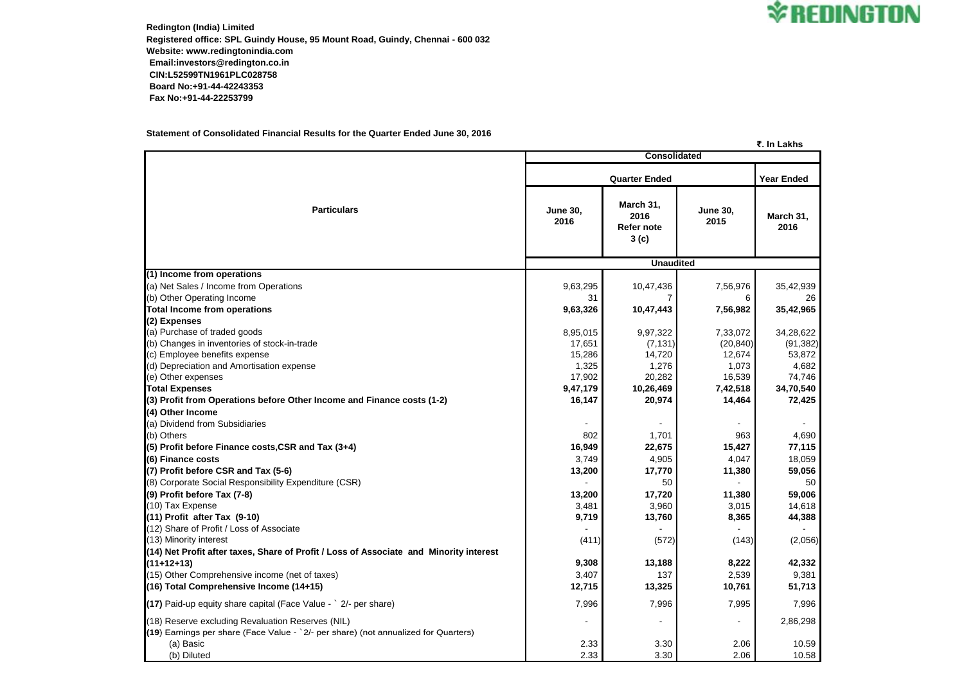**Redington (India) Limited Registered office: SPL Guindy House, 95 Mount Road, Guindy, Chennai - 600 032 Website: www.redingtonindia.com Email:investors@redington.co.in CIN:L52599TN1961PLC028758 Board No:+91-44-42243353 Fax No:+91-44-22253799**

### **Statement of Consolidated Financial Results for the Quarter Ended June 30, 2016**

## **₹. In Lakhs**

|                                                                                        | <b>Consolidated</b>     |                                                     |                         |                   |  |
|----------------------------------------------------------------------------------------|-------------------------|-----------------------------------------------------|-------------------------|-------------------|--|
|                                                                                        |                         | <b>Year Ended</b>                                   |                         |                   |  |
| <b>Particulars</b>                                                                     | <b>June 30,</b><br>2016 | March 31,<br>2016<br>Refer note<br>3 <sub>(c)</sub> | <b>June 30,</b><br>2015 | March 31,<br>2016 |  |
|                                                                                        | <b>Unaudited</b>        |                                                     |                         |                   |  |
| (1) Income from operations                                                             |                         |                                                     |                         |                   |  |
| (a) Net Sales / Income from Operations                                                 | 9,63,295                | 10,47,436                                           | 7,56,976                | 35,42,939         |  |
| (b) Other Operating Income                                                             | 31                      |                                                     | 6                       | 26                |  |
| <b>Total Income from operations</b>                                                    | 9,63,326                | 10,47,443                                           | 7,56,982                | 35,42,965         |  |
| (2) Expenses<br>(a) Purchase of traded goods                                           | 8,95,015                | 9,97,322                                            | 7,33,072                | 34,28,622         |  |
| (b) Changes in inventories of stock-in-trade                                           | 17,651                  | (7, 131)                                            | (20, 840)               | (91, 382)         |  |
| (c) Employee benefits expense                                                          | 15,286                  | 14,720                                              | 12,674                  | 53,872            |  |
| (d) Depreciation and Amortisation expense                                              | 1,325                   | 1,276                                               | 1,073                   | 4,682             |  |
| (e) Other expenses                                                                     | 17,902                  | 20,282                                              | 16,539                  | 74,746            |  |
| <b>Total Expenses</b>                                                                  | 9,47,179                | 10,26,469                                           | 7,42,518                | 34,70,540         |  |
| (3) Profit from Operations before Other Income and Finance costs (1-2)                 | 16,147                  | 20,974                                              | 14,464                  | 72,425            |  |
| (4) Other Income                                                                       |                         |                                                     |                         |                   |  |
| (a) Dividend from Subsidiaries                                                         |                         |                                                     |                         |                   |  |
| (b) Others                                                                             | 802                     | 1,701                                               | 963                     | 4,690             |  |
| (5) Profit before Finance costs, CSR and Tax (3+4)                                     | 16,949                  | 22,675                                              | 15,427                  | 77,115            |  |
| (6) Finance costs                                                                      | 3,749                   | 4,905                                               | 4,047                   | 18,059            |  |
| (7) Profit before CSR and Tax (5-6)                                                    | 13,200                  | 17,770                                              | 11,380                  | 59,056            |  |
| (8) Corporate Social Responsibility Expenditure (CSR)                                  |                         | 50                                                  |                         | 50                |  |
| $(9)$ Profit before Tax $(7-8)$                                                        | 13,200                  | 17,720                                              | 11,380                  | 59,006            |  |
| (10) Tax Expense                                                                       | 3,481                   | 3,960                                               | 3,015                   | 14,618            |  |
| $(11)$ Profit after Tax $(9-10)$                                                       | 9,719                   | 13,760                                              | 8,365                   | 44,388            |  |
| (12) Share of Profit / Loss of Associate                                               |                         |                                                     |                         |                   |  |
| (13) Minority interest                                                                 | (411)                   | (572)                                               | (143)                   | (2,056)           |  |
| (14) Net Profit after taxes, Share of Profit / Loss of Associate and Minority interest |                         |                                                     |                         |                   |  |
| $(11+12+13)$                                                                           | 9,308                   | 13,188                                              | 8,222                   | 42,332            |  |
| (15) Other Comprehensive income (net of taxes)                                         | 3,407                   | 137                                                 | 2,539                   | 9,381             |  |
| $(16)$ Total Comprehensive Income $(14+15)$                                            | 12,715                  | 13,325                                              | 10,761                  | 51,713            |  |
| $(17)$ Paid-up equity share capital (Face Value - $\degree$ 2/- per share)             | 7,996                   | 7,996                                               | 7,995                   | 7,996             |  |
| (18) Reserve excluding Revaluation Reserves (NIL)                                      |                         |                                                     |                         | 2,86,298          |  |
| $(19)$ Earnings per share (Face Value - $2/-$ per share) (not annualized for Quarters) |                         |                                                     |                         |                   |  |
| (a) Basic                                                                              | 2.33                    | 3.30                                                | 2.06                    | 10.59             |  |
| (b) Diluted                                                                            | 2.33                    | 3.30                                                | 2.06                    | 10.58             |  |